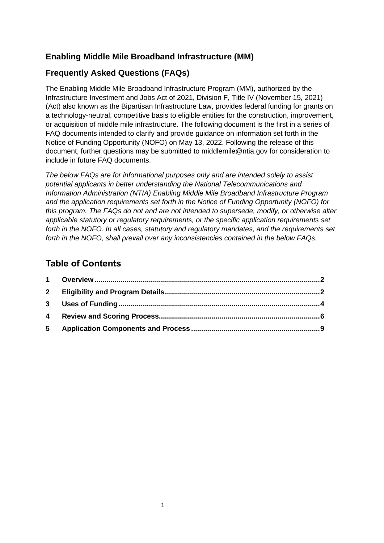## **Enabling Middle Mile Broadband Infrastructure (MM)**

## **Frequently Asked Questions (FAQs)**

The Enabling Middle Mile Broadband Infrastructure Program (MM), authorized by the Infrastructure Investment and Jobs Act of 2021, Division F, Title IV (November 15, 2021) (Act) also known as the Bipartisan Infrastructure Law, provides federal funding for grants on a technology-neutral, competitive basis to eligible entities for the construction, improvement, or acquisition of middle mile infrastructure. The following document is the first in a series of FAQ documents intended to clarify and provide guidance on information set forth in the Notice of Funding Opportunity (NOFO) on May 13, 2022. Following the release of this document, further questions may be submitted to middlemile@ntia.gov for consideration to include in future FAQ documents.

*The below FAQs are for informational purposes only and are intended solely to assist potential applicants in better understanding the National Telecommunications and Information Administration (NTIA) Enabling Middle Mile Broadband Infrastructure Program and the application requirements set forth in the Notice of Funding Opportunity (NOFO) for this program. The FAQs do not and are not intended to supersede, modify, or otherwise alter applicable statutory or regulatory requirements, or the specific application requirements set forth in the NOFO. In all cases, statutory and regulatory mandates, and the requirements set forth in the NOFO, shall prevail over any inconsistencies contained in the below FAQs.*

## **Table of Contents**

<span id="page-0-0"></span>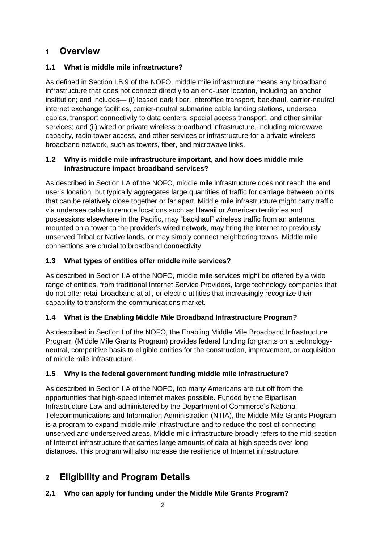# **1 Overview**

## **1.1 What is middle mile infrastructure?**

As defined in Section I.B.9 of the NOFO, middle mile infrastructure means any broadband infrastructure that does not connect directly to an end-user location, including an anchor institution; and includes— (i) leased dark fiber, interoffice transport, backhaul, carrier-neutral internet exchange facilities, carrier-neutral submarine cable landing stations, undersea cables, transport connectivity to data centers, special access transport, and other similar services; and (ii) wired or private wireless broadband infrastructure, including microwave capacity, radio tower access, and other services or infrastructure for a private wireless broadband network, such as towers, fiber, and microwave links.

#### **1.2 Why is middle mile infrastructure important, and how does middle mile infrastructure impact broadband services?**

As described in Section I.A of the NOFO, middle mile infrastructure does not reach the end user's location, but typically aggregates large quantities of traffic for carriage between points that can be relatively close together or far apart. Middle mile infrastructure might carry traffic via undersea cable to remote locations such as Hawaii or American territories and possessions elsewhere in the Pacific, may "backhaul" wireless traffic from an antenna mounted on a tower to the provider's wired network, may bring the internet to previously unserved Tribal or Native lands, or may simply connect neighboring towns. Middle mile connections are crucial to broadband connectivity.

## **1.3 What types of entities offer middle mile services?**

As described in Section I.A of the NOFO, middle mile services might be offered by a wide range of entities, from traditional Internet Service Providers, large technology companies that do not offer retail broadband at all, or electric utilities that increasingly recognize their capability to transform the communications market.

## **1.4 What is the Enabling Middle Mile Broadband Infrastructure Program?**

As described in Section I of the NOFO, the Enabling Middle Mile Broadband Infrastructure Program (Middle Mile Grants Program) provides federal funding for grants on a technologyneutral, competitive basis to eligible entities for the construction, improvement, or acquisition of middle mile infrastructure.

### **1.5 Why is the federal government funding middle mile infrastructure?**

As described in Section I.A of the NOFO, too many Americans are cut off from the opportunities that high-speed internet makes possible. Funded by the Bipartisan Infrastructure Law and administered by the Department of Commerce's National Telecommunications and Information Administration (NTIA), the Middle Mile Grants Program is a program to expand middle mile infrastructure and to reduce the cost of connecting unserved and underserved areas. Middle mile infrastructure broadly refers to the mid-section of Internet infrastructure that carries large amounts of data at high speeds over long distances. This program will also increase the resilience of Internet infrastructure.

# <span id="page-1-0"></span>**2 Eligibility and Program Details**

### **2.1 Who can apply for funding under the Middle Mile Grants Program?**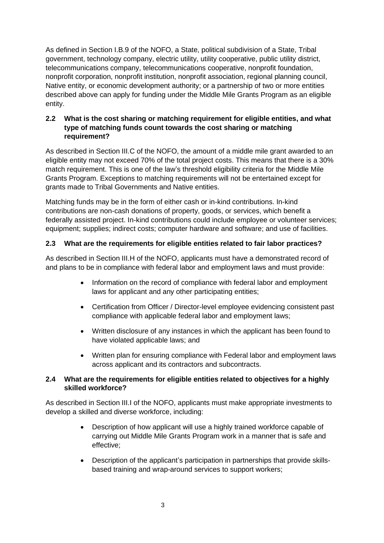As defined in Section I.B.9 of the NOFO, a State, political subdivision of a State, Tribal government, technology company, electric utility, utility cooperative, public utility district, telecommunications company, telecommunications cooperative, nonprofit foundation, nonprofit corporation, nonprofit institution, nonprofit association, regional planning council, Native entity, or economic development authority; or a partnership of two or more entities described above can apply for funding under the Middle Mile Grants Program as an eligible entity.

#### **2.2 What is the cost sharing or matching requirement for eligible entities, and what type of matching funds count towards the cost sharing or matching requirement?**

As described in Section III.C of the NOFO, the amount of a middle mile grant awarded to an eligible entity may not exceed 70% of the total project costs. This means that there is a 30% match requirement. This is one of the law's threshold eligibility criteria for the Middle Mile Grants Program. Exceptions to matching requirements will not be entertained except for grants made to Tribal Governments and Native entities.

Matching funds may be in the form of either cash or in-kind contributions. In-kind contributions are non-cash donations of property, goods, or services, which benefit a federally assisted project. In-kind contributions could include employee or volunteer services; equipment; supplies; indirect costs; computer hardware and software; and use of facilities.

#### **2.3 What are the requirements for eligible entities related to fair labor practices?**

As described in Section III.H of the NOFO, applicants must have a demonstrated record of and plans to be in compliance with federal labor and employment laws and must provide:

- Information on the record of compliance with federal labor and employment laws for applicant and any other participating entities;
- Certification from Officer / Director-level employee evidencing consistent past compliance with applicable federal labor and employment laws;
- Written disclosure of any instances in which the applicant has been found to have violated applicable laws; and
- Written plan for ensuring compliance with Federal labor and employment laws across applicant and its contractors and subcontracts.

#### **2.4 What are the requirements for eligible entities related to objectives for a highly skilled workforce?**

As described in Section III.I of the NOFO, applicants must make appropriate investments to develop a skilled and diverse workforce, including:

- Description of how applicant will use a highly trained workforce capable of carrying out Middle Mile Grants Program work in a manner that is safe and effective;
- Description of the applicant's participation in partnerships that provide skillsbased training and wrap-around services to support workers;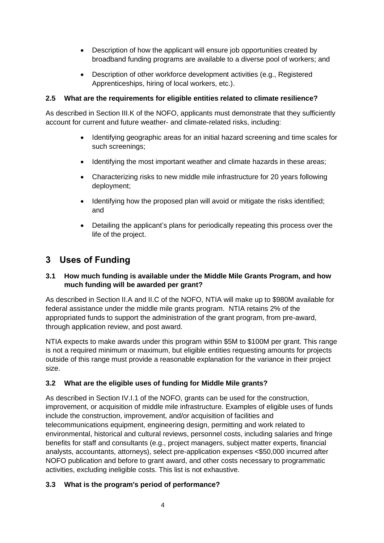- Description of how the applicant will ensure job opportunities created by broadband funding programs are available to a diverse pool of workers; and
- Description of other workforce development activities (e.g., Registered Apprenticeships, hiring of local workers, etc.).

#### **2.5 What are the requirements for eligible entities related to climate resilience?**

As described in Section III.K of the NOFO, applicants must demonstrate that they sufficiently account for current and future weather- and climate-related risks, including:

- Identifying geographic areas for an initial hazard screening and time scales for such screenings;
- Identifying the most important weather and climate hazards in these areas;
- Characterizing risks to new middle mile infrastructure for 20 years following deployment;
- Identifying how the proposed plan will avoid or mitigate the risks identified; and
- Detailing the applicant's plans for periodically repeating this process over the life of the project.

# <span id="page-3-0"></span>**3 Uses of Funding**

#### **3.1 How much funding is available under the Middle Mile Grants Program, and how much funding will be awarded per grant?**

As described in Section II.A and II.C of the NOFO, NTIA will make up to \$980M available for federal assistance under the middle mile grants program. NTIA retains 2% of the appropriated funds to support the administration of the grant program, from pre-award, through application review, and post award.

NTIA expects to make awards under this program within \$5M to \$100M per grant. This range is not a required minimum or maximum, but eligible entities requesting amounts for projects outside of this range must provide a reasonable explanation for the variance in their project size.

#### **3.2 What are the eligible uses of funding for Middle Mile grants?**

As described in Section IV.I.1 of the NOFO, grants can be used for the construction, improvement, or acquisition of middle mile infrastructure. Examples of eligible uses of funds include the construction, improvement, and/or acquisition of facilities and telecommunications equipment, engineering design, permitting and work related to environmental, historical and cultural reviews, personnel costs, including salaries and fringe benefits for staff and consultants (e.g., project managers, subject matter experts, financial analysts, accountants, attorneys), select pre-application expenses <\$50,000 incurred after NOFO publication and before to grant award, and other costs necessary to programmatic activities, excluding ineligible costs. This list is not exhaustive.

### **3.3 What is the program's period of performance?**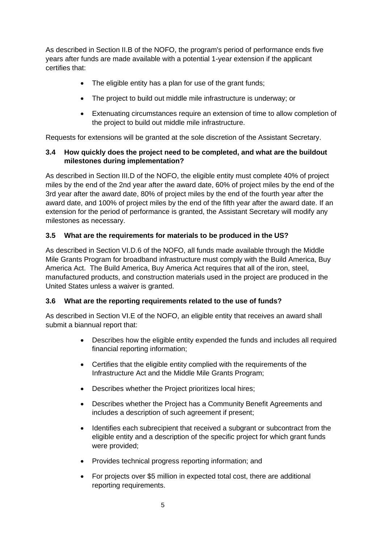As described in Section II.B of the NOFO, the program's period of performance ends five years after funds are made available with a potential 1-year extension if the applicant certifies that:

- The eligible entity has a plan for use of the grant funds;
- The project to build out middle mile infrastructure is underway; or
- Extenuating circumstances require an extension of time to allow completion of the project to build out middle mile infrastructure.

Requests for extensions will be granted at the sole discretion of the Assistant Secretary.

#### **3.4 How quickly does the project need to be completed, and what are the buildout milestones during implementation?**

As described in Section III.D of the NOFO, the eligible entity must complete 40% of project miles by the end of the 2nd year after the award date, 60% of project miles by the end of the 3rd year after the award date, 80% of project miles by the end of the fourth year after the award date, and 100% of project miles by the end of the fifth year after the award date. If an extension for the period of performance is granted, the Assistant Secretary will modify any milestones as necessary.

#### **3.5 What are the requirements for materials to be produced in the US?**

As described in Section VI.D.6 of the NOFO, all funds made available through the Middle Mile Grants Program for broadband infrastructure must comply with the Build America, Buy America Act. The Build America, Buy America Act requires that all of the iron, steel, manufactured products, and construction materials used in the project are produced in the United States unless a waiver is granted.

#### **3.6 What are the reporting requirements related to the use of funds?**

As described in Section VI.E of the NOFO, an eligible entity that receives an award shall submit a biannual report that:

- Describes how the eligible entity expended the funds and includes all required financial reporting information;
- Certifies that the eligible entity complied with the requirements of the Infrastructure Act and the Middle Mile Grants Program;
- Describes whether the Project prioritizes local hires;
- Describes whether the Project has a Community Benefit Agreements and includes a description of such agreement if present;
- Identifies each subrecipient that received a subgrant or subcontract from the eligible entity and a description of the specific project for which grant funds were provided;
- Provides technical progress reporting information; and
- For projects over \$5 million in expected total cost, there are additional reporting requirements.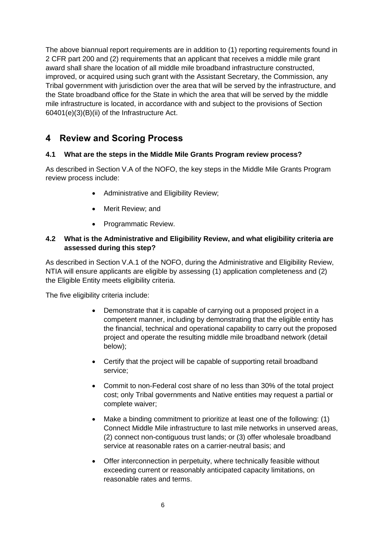The above biannual report requirements are in addition to (1) reporting requirements found in 2 CFR part 200 and (2) requirements that an applicant that receives a middle mile grant award shall share the location of all middle mile broadband infrastructure constructed, improved, or acquired using such grant with the Assistant Secretary, the Commission, any Tribal government with jurisdiction over the area that will be served by the infrastructure, and the State broadband office for the State in which the area that will be served by the middle mile infrastructure is located, in accordance with and subject to the provisions of Section 60401(e)(3)(B)(ii) of the Infrastructure Act.

# <span id="page-5-0"></span>**4 Review and Scoring Process**

#### **4.1 What are the steps in the Middle Mile Grants Program review process?**

As described in Section V.A of the NOFO, the key steps in the Middle Mile Grants Program review process include:

- Administrative and Eligibility Review;
- Merit Review; and
- Programmatic Review.

#### **4.2 What is the Administrative and Eligibility Review, and what eligibility criteria are assessed during this step?**

As described in Section V.A.1 of the NOFO, during the Administrative and Eligibility Review, NTIA will ensure applicants are eligible by assessing (1) application completeness and (2) the Eligible Entity meets eligibility criteria.

The five eligibility criteria include:

- Demonstrate that it is capable of carrying out a proposed project in a competent manner, including by demonstrating that the eligible entity has the financial, technical and operational capability to carry out the proposed project and operate the resulting middle mile broadband network (detail below);
- Certify that the project will be capable of supporting retail broadband service;
- Commit to non-Federal cost share of no less than 30% of the total project cost; only Tribal governments and Native entities may request a partial or complete waiver;
- Make a binding commitment to prioritize at least one of the following: (1) Connect Middle Mile infrastructure to last mile networks in unserved areas, (2) connect non-contiguous trust lands; or (3) offer wholesale broadband service at reasonable rates on a carrier-neutral basis; and
- Offer interconnection in perpetuity, where technically feasible without exceeding current or reasonably anticipated capacity limitations, on reasonable rates and terms.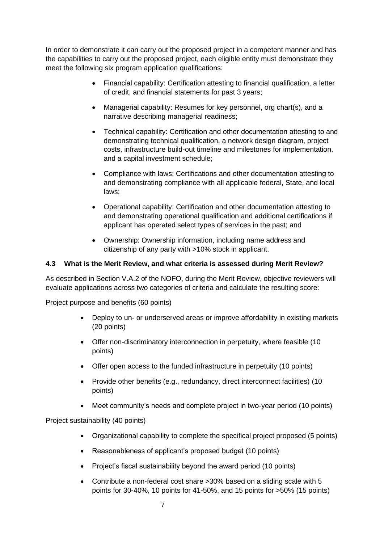In order to demonstrate it can carry out the proposed project in a competent manner and has the capabilities to carry out the proposed project, each eligible entity must demonstrate they meet the following six program application qualifications:

- Financial capability: Certification attesting to financial qualification, a letter of credit, and financial statements for past 3 years;
- Managerial capability: Resumes for key personnel, org chart(s), and a narrative describing managerial readiness;
- Technical capability: Certification and other documentation attesting to and demonstrating technical qualification, a network design diagram, project costs, infrastructure build-out timeline and milestones for implementation, and a capital investment schedule;
- Compliance with laws: Certifications and other documentation attesting to and demonstrating compliance with all applicable federal, State, and local laws;
- Operational capability: Certification and other documentation attesting to and demonstrating operational qualification and additional certifications if applicant has operated select types of services in the past; and
- Ownership: Ownership information, including name address and citizenship of any party with >10% stock in applicant.

#### **4.3 What is the Merit Review, and what criteria is assessed during Merit Review?**

As described in Section V.A.2 of the NOFO, during the Merit Review, objective reviewers will evaluate applications across two categories of criteria and calculate the resulting score:

Project purpose and benefits (60 points)

- Deploy to un- or underserved areas or improve affordability in existing markets (20 points)
- Offer non-discriminatory interconnection in perpetuity, where feasible (10 points)
- Offer open access to the funded infrastructure in perpetuity (10 points)
- Provide other benefits (e.g., redundancy, direct interconnect facilities) (10 points)
- Meet community's needs and complete project in two-year period (10 points)

Project sustainability (40 points)

- Organizational capability to complete the specifical project proposed (5 points)
- Reasonableness of applicant's proposed budget (10 points)
- Project's fiscal sustainability beyond the award period (10 points)
- Contribute a non-federal cost share >30% based on a sliding scale with 5 points for 30-40%, 10 points for 41-50%, and 15 points for >50% (15 points)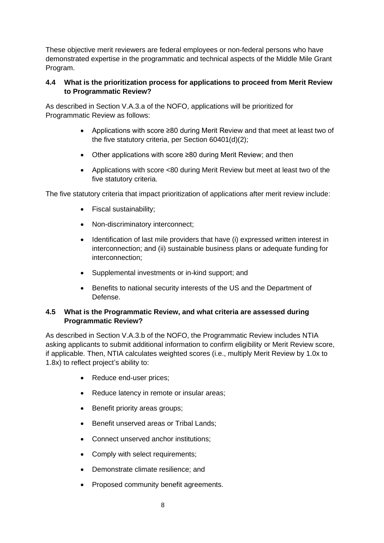These objective merit reviewers are federal employees or non-federal persons who have demonstrated expertise in the programmatic and technical aspects of the Middle Mile Grant Program.

#### **4.4 What is the prioritization process for applications to proceed from Merit Review to Programmatic Review?**

As described in Section V.A.3.a of the NOFO, applications will be prioritized for Programmatic Review as follows:

- Applications with score ≥80 during Merit Review and that meet at least two of the five statutory criteria, per Section 60401(d)(2);
- Other applications with score ≥80 during Merit Review; and then
- Applications with score <80 during Merit Review but meet at least two of the five statutory criteria.

The five statutory criteria that impact prioritization of applications after merit review include:

- Fiscal sustainability;
- Non-discriminatory interconnect;
- Identification of last mile providers that have (i) expressed written interest in interconnection; and (ii) sustainable business plans or adequate funding for interconnection;
- Supplemental investments or in-kind support; and
- Benefits to national security interests of the US and the Department of Defense.

#### **4.5 What is the Programmatic Review, and what criteria are assessed during Programmatic Review?**

As described in Section V.A.3.b of the NOFO, the Programmatic Review includes NTIA asking applicants to submit additional information to confirm eligibility or Merit Review score, if applicable. Then, NTIA calculates weighted scores (i.e., multiply Merit Review by 1.0x to 1.8x) to reflect project's ability to:

- Reduce end-user prices:
- Reduce latency in remote or insular areas;
- Benefit priority areas groups;
- Benefit unserved areas or Tribal Lands;
- Connect unserved anchor institutions;
- Comply with select requirements;
- Demonstrate climate resilience; and
- Proposed community benefit agreements.